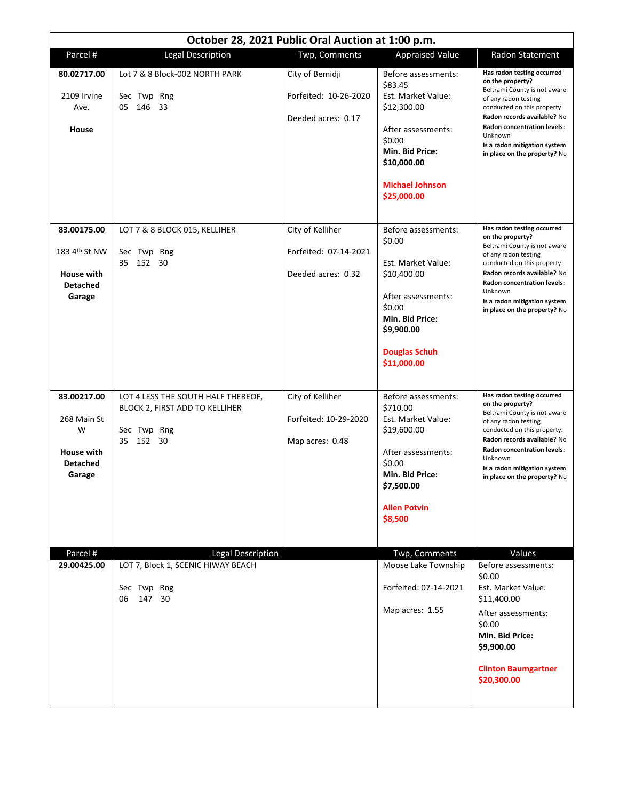| October 28, 2021 Public Oral Auction at 1:00 p.m.                          |                                                                                                  |                                                                 |                                                                                                                                                                                |                                                                                                                                                                                                                                                                                       |  |  |
|----------------------------------------------------------------------------|--------------------------------------------------------------------------------------------------|-----------------------------------------------------------------|--------------------------------------------------------------------------------------------------------------------------------------------------------------------------------|---------------------------------------------------------------------------------------------------------------------------------------------------------------------------------------------------------------------------------------------------------------------------------------|--|--|
| Parcel #                                                                   | <b>Legal Description</b>                                                                         | Twp, Comments                                                   | <b>Appraised Value</b>                                                                                                                                                         | Radon Statement                                                                                                                                                                                                                                                                       |  |  |
| 80.02717.00<br>2109 Irvine<br>Ave.<br>House                                | Lot 7 & 8 Block-002 NORTH PARK<br>Sec Twp Rng<br>146<br>05<br>33                                 | City of Bemidji<br>Forfeited: 10-26-2020<br>Deeded acres: 0.17  | Before assessments:<br>\$83.45<br>Est. Market Value:<br>\$12,300.00<br>After assessments:<br>\$0.00<br>Min. Bid Price:<br>\$10,000.00<br><b>Michael Johnson</b><br>\$25,000.00 | Has radon testing occurred<br>on the property?<br>Beltrami County is not aware<br>of any radon testing<br>conducted on this property.<br>Radon records available? No<br><b>Radon concentration levels:</b><br>Unknown<br>Is a radon mitigation system<br>in place on the property? No |  |  |
| 83.00175.00<br>183 4th St NW<br>House with<br><b>Detached</b><br>Garage    | LOT 7 & 8 BLOCK 015, KELLIHER<br>Sec Twp Rng<br>35 152<br>30                                     | City of Kelliher<br>Forfeited: 07-14-2021<br>Deeded acres: 0.32 | Before assessments:<br>\$0.00<br>Est. Market Value:<br>\$10,400.00<br>After assessments:<br>\$0.00<br>Min. Bid Price:<br>\$9,900.00<br><b>Douglas Schuh</b><br>\$11,000.00     | Has radon testing occurred<br>on the property?<br>Beltrami County is not aware<br>of any radon testing<br>conducted on this property.<br>Radon records available? No<br><b>Radon concentration levels:</b><br>Unknown<br>Is a radon mitigation system<br>in place on the property? No |  |  |
| 83.00217.00<br>268 Main St<br>W<br>House with<br><b>Detached</b><br>Garage | LOT 4 LESS THE SOUTH HALF THEREOF,<br>BLOCK 2, FIRST ADD TO KELLIHER<br>Sec Twp Rng<br>35 152 30 | City of Kelliher<br>Forfeited: 10-29-2020<br>Map acres: 0.48    | Before assessments:<br>\$710.00<br>Est. Market Value:<br>\$19,600.00<br>After assessments:<br>\$0.00<br>Min. Bid Price:<br>\$7,500.00<br><b>Allen Potvin</b><br>\$8,500        | Has radon testing occurred<br>on the property?<br>Beltrami County is not aware<br>of any radon testing<br>conducted on this property.<br>Radon records available? No<br><b>Radon concentration levels:</b><br>Unknown<br>Is a radon mitigation system<br>in place on the property? No |  |  |
| Parcel #<br>29.00425.00                                                    | <b>Legal Description</b><br>LOT 7, Block 1, SCENIC HIWAY BEACH<br>Sec Twp Rng<br>147 30<br>06    |                                                                 | Twp, Comments<br>Moose Lake Township<br>Forfeited: 07-14-2021<br>Map acres: 1.55                                                                                               | Values<br>Before assessments:<br>\$0.00<br>Est. Market Value:<br>\$11,400.00<br>After assessments:<br>\$0.00<br>Min. Bid Price:<br>\$9,900.00<br><b>Clinton Baumgartner</b><br>\$20,300.00                                                                                            |  |  |